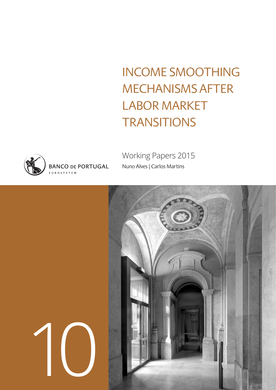INCOME SMOOTHING MECHANISMS AFTER LABOR MARKET **TRANSITIONS** 



1

Working Papers 2015 Nuno Alves | Carlos Martins

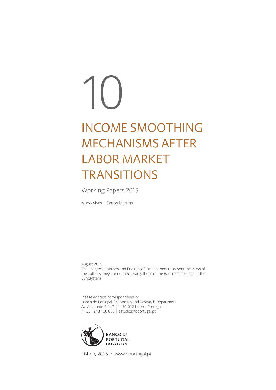# INCOME SMOOTHING MECHANISMS AFTER LABOR MARKET **TRANSITIONS** 10

Working Papers 2015

Nuno Alves | Carlos Martins

August 2015 The analyses, opinions and findings of these papers represent the views of the authors, they are not necessarily those of the Banco de Portugal or the Eurosystem

Please address correspondence to Banco de Portugal, Economics and Research Department Av. Almirante Reis 71, 1150-012 Lisboa, Portugal T +351 213 130 000 | estudos@bportugal.pt



Lisbon, 2015 • www.bportugal.pt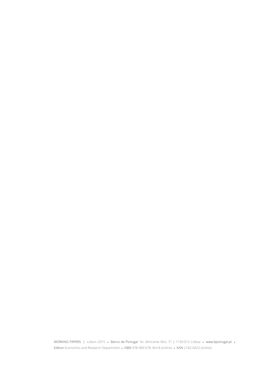WORKING PAPERS | Lisbon 2015 **•** Banco de Portugal Av. Almirante Reis, 71 | 1150-012 Lisboa **•** www.bportugal.pt **•**  Edition Economics and Research Department **•** ISBN 978-989-678-364-8 (online) **•** ISSN 2182-0422 (online)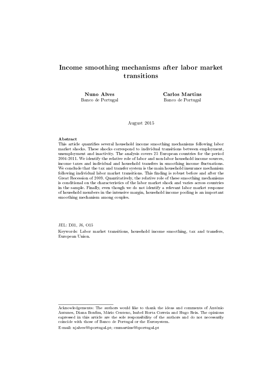### Income smoothing mechanisms after labor market transitions

Nuno Alves Banco de Portugal Carlos Martins Banco de Portugal

August 2015

#### Abstract

This article quantifies several household income smoothing mechanisms following labor market shocks. These shocks correspond to individual transitions between employment, unemployment and inactivity. The analysis covers 25 European countries for the period 2004-2011. We identify the relative role of labor and non-labor household income sources, income taxes and individual and household transfers in smoothing income fluctuations. We conclude that the tax and transfer system is the main household insurance mechanism following individual labor market transitions. This finding is robust before and after the Great Recession of 2009. Quantitatively, the relative role of these smoothing mechanisms is conditional on the characteristics of the labor market shock and varies across countries in the sample. Finally, even though we do not identify a relevant labor market response of household members in the intensive margin, household income pooling is an important smoothing mechanism among couples.

JEL: D31, J6, O15

Keywords: Labor market transitions, household income smoothing, tax and transfers, European Union.

Acknowledgements: The authors would like to thank the ideas and comments of António Antunes, Diana Bonfim, Mário Centeno, Isabel Horta Correia and Hugo Reis. The opinions expressed in this article are the sole responsibility of the authors and do not necessarily coincide with those of Banco de Portugal or the Eurosystem.

E-mail: njalves@bportugal.pt; cmmartins@bportugal.pt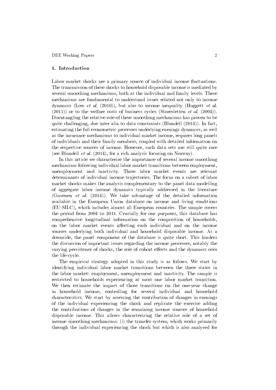#### 1. Introduction

Labor market shocks are a primary source of individual income fluctuations. The transmission of these shocks to household disposable income is mediated by several smoothing mechanisms, both at the individual and family levels. These mechanisms are fundamental to understand issues related not only to income dynamics (Low *et al.* (2010)), but also to income inequality (Huggett *et al.*  $(2011)$  or to the welfare costs of business cycles (Storesletten *et al.* (2004)). Disentangling the relative role of these smoothing mechanisms has proven to be quite challenging, due inter alia to data constraints (Blundell  $(2014)$ ). In fact, estimating the full econometric processes underlying earnings dynamics, as well as the insurance mechanisms to individual market income, requires long panels of individuals and their family members, coupled with detailed information on the respective sources of income. However, such data sets are still quite rare (see Blundell et al. (2014), for a rich analysis focusing on Norway).

In this article we characterize the importance of several income smoothing mechanisms following individual labor market transitions between employment, unemployment and inactivity. These labor market events are relevant determinants of individual income trajectories. The focus on a subset of labor market shocks makes the analysis complementary to the panel data modelling of aggregate labor income dynamics typically addressed in the literature (Guvenen et al. (2014)). We take advantage of the detailed information available in the European Union database on income and living conditions (EU-SILC), which includes almost all European countries. The sample covers the period from 2004 to 2011. Crucially for our purposes, this database has comprehensive longitudinal information on the composition of households, on the labor market events affecting each individual and on the income sources underlying both individual and household disposable income. As a downside, the panel component of the database is quite short. This hinders the discussion of important issues regarding the income processes, notably the varying persistence of shocks, the role of cohort effects and the dynamics over the life-cycle.

The empirical strategy adopted in this study is as follows. We start by identifying individual labor market transitions between the three states in the labor market: employment, unemployment and inactivity. The sample is restricted to households experiencing at most one labor market transition. We then estimate the impact of those transitions on the one-year change in household income, controlling for several individual and household characteristics. We start by assessing the contribution of changes in earnings of the individual experiencing the shock and replicate the exercise adding the contributions of changes in the remaining income sources of household disposable income. This allows characterizing the relative role of a set of income smoothing mechanisms: (i) the transfer system, which works primarily through the individual experiencing the shock but which is also analysed for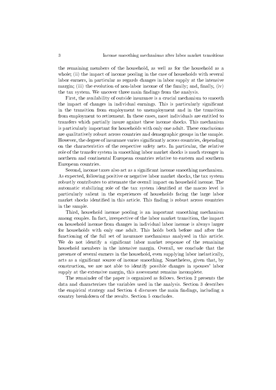the remaining members of the household, as well as for the household as a whole; (ii) the impact of income pooling in the case of households with several labor earners, in particular as regards changes in labor supply at the intensive margin; (iii) the evolution of non-labor income of the family; and, finally,  $(iv)$ the tax system. We uncover three main findings from the analysis.

First, the availability of outside insurance is a crucial mechanism to smooth the impact of changes in individual earnings. This is particularly signicant in the transition from employment to unemployment and in the transition from employment to retirement. In these cases, most individuals are entitled to transfers which partially insure against these income shocks. This mechanism is particularly important for households with only one adult. These conclusions are qualitatively robust across countries and demographic groups in the sample. However, the degree of insurance varies significantly across countries, depending on the characteristics of the respective safety nets. In particular, the relative role of the transfer system in smoothing labor market shocks is much stronger in northern and continental European countries relative to eastern and southern European countries.

Second, income taxes also act as a significant income smoothing mechanism. As expected, following positive or negative labor market shocks, the tax system robustly contributes to attenuate the overall impact on household income. The automatic stabilizing role of the tax system identified at the macro level is particularly salient in the experiences of households facing the large labor market shocks identified in this article. This finding is robust across countries in the sample.

Third, household income pooling is an important smoothing mechanism among couples. In fact, irrespective of the labor market transition, the impact on household income from changes in individual labor income is always larger for households with only one adult. This holds both before and after the functioning of the full set of insurance mechanisms analysed in this article. We do not identify a significant labor market response of the remaining household members in the intensive margin. Overall, we conclude that the presence of several earners in the household, even supplying labor inelastically, acts as a signicant source of income smoothing. Nonetheless, given that, by construction, we are not able to identify possible changes in spouses' labor supply at the extensive margin, this assessment remains incomplete.

The remainder of the paper is organized as follows. Section 2 presents the data and characterizes the variables used in the analysis. Section 3 describes the empirical strategy and Section 4 discusses the main findings, including a country breakdown of the results. Section 5 concludes.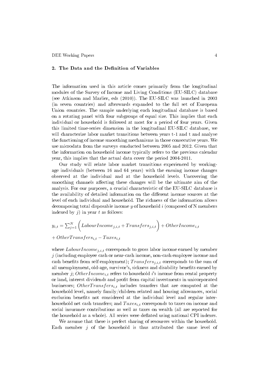#### 2. The Data and the Definition of Variables

The information used in this article comes primarily from the longitudinal modules of the Survey of Income and Living Conditions (EU-SILC) database (see Atkinson and Marlier, eds (2010)). The EU-SILC was launched in 2003 (in seven countries) and afterwards expanded to the full set of European Union countries. The sample underlying each longitudinal database is based on a rotating panel with four subgroups of equal size. This implies that each individual or household is followed at most for a period of four years. Given this limited time-series dimension in the longitudinal EU-SILC database, we will characterize labor market transitions between years t-1 and t and analyse the functioning of income smoothing mechanisms in those consecutive years. We use microdata from the surveys conducted between 2005 and 2012. Given that the information on household income typically refers to the previous calendar year, this implies that the actual data cover the period 2004-2011.

Our study will relate labor market transitions experienced by workingage individuals (between 16 and 64 years) with the ensuing income changes observed at the individual and at the household levels. Uncovering the smoothing channels affecting these changes will be the ultimate aim of the analysis. For our purposes, a crucial characteristic of the EU-SILC database is the availability of detailed information on the different income sources at the level of each individual and household. The richness of the information allows decomposing total disposable income  $y$  of household  $i$  (composed of N members indexed by  $j$ ) in year  $t$  as follows:

$$
y_{i,t} = \sum_{j=1}^{N} \left( Labour Income_{j,i,t} + Transfers_{j,i,t} \right) + Other Income_{i,t}
$$

$$
+ Other Transfers_{i,t} - Taxes_{i,t}
$$

where  $LaborIncome_{j,i,t}$  corresponds to gross labor income earned by member  $j$  (including employee cash or near-cash income, non-cash employee income and cash benefits from self employment);  $Transfers_{i,i,t}$  corresponds to the sum of all unemployment, old-age, survivor's, sickness and disability benefits earned by member j; OtherIncome<sub>i,t</sub> refers to household i's income from rental property or land, interest dividends and profit from capital investments in unicorporated businesses; OtherTransfers<sub>i,t</sub> includes transfers that are computed at the household level, namely family/children related and housing allowances, social exclusion benefits not considered at the individual level and regular interhousehold net cash transfers; and  $Taxes_{i,t}$  corresponds to taxes on income and social insurance contributions as well as taxes on wealth (all are reported for the household as a whole). All series were deflated using national CPI indexes.

We assume that there is perfect sharing of resources within the household. Each member  $j$  of the household is thus attributed the same level of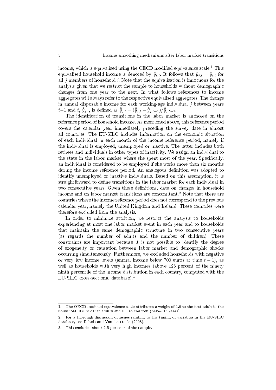income, which is equivalised using the OECD modified equivalence scale.<sup>1</sup> This equivalised household income is denoted by  $\tilde{y}_{i,t}$ . It follows that  $\tilde{y}_{j,t} = \tilde{y}_{i,t}$  for all  $j$  members of household  $i$ . Note that the equivalisation is innocuous for the analysis given that we restrict the sample to households without demographic changes from one year to the next. In what follows references to income aggregates will always refer to the respective equivalised aggregates. The change in annual disposable income for each working-age individual  $j$  between years  $t-1$  and  $t, \, \hat{\tilde{y}}_{j,t},$  is defined as  $\hat{\tilde{y}}_{j,t} = (\hat{\tilde{y}}_{j,t} - \hat{\tilde{y}}_{j,t-1})/\hat{\tilde{y}}_{j,t-1}.$ 

The identification of transitions in the labor market is anchored on the reference period of household income. As mentioned above, this reference period covers the calendar year immediately preceding the survey date in almost all countries. The EU-SILC includes information on the economic situation of each individual in each month of the income reference period, namely if the individual is employed, unemployed or inactive. The latter includes both retirees and individuals in other types of inactivity. We assign an individual to the state in the labor market where she spent most of the year. Specifically, an individual is considered to be employed if she works more than six months during the income reference period. An analogous definition was adopted to identify unemployed or inactive individuals. Based on this assumption, it is straightforward to dene transitions in the labor market for each individual in two consecutive years. Given these definitions, data on changes in household income and on labor market transitions are concomitant.<sup>2</sup> Note that there are countries where the income reference period does not correspond to the previous calendar year, namely the United Kingdom and Ireland. These countries were therefore excluded from the analysis.

In order to minimize attrition, we restrict the analysis to households experiencing at most one labor market event in each year and to households that maintain the same demographic structure in two consecutive years (as regards the number of adults and the number of children). These constraints are important because it is not possible to identify the degree of exogeneity or causation between labor market and demographic shocks occurring simultaneously. Furthermore, we excluded households with negative or very low income levels (annual income below 700 euros at time  $t - 1$ ), as well as households with very high incomes (above 125 percent of the ninety ninth percentile of the income distribution in each country, computed with the EU-SILC cross-sectional database).<sup>3</sup>

<sup>1.</sup> The OECD modified equivalence scale attributes a weight of 1.0 to the first adult in the household, 0.5 to other adults and 0.3 to children (below 15 years).

<sup>2.</sup> For a thorough discussion of issues relating to the timing of variables in the EU-SILC database, see Debels and Vandecasteele (2008).

<sup>3.</sup> This excludes about 2.5 per cent of the sample.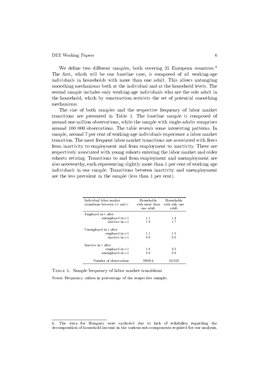We define two different samples, both covering  $25$  European countries.<sup>4</sup> The first, which will be our baseline case, is composed of all working-age individuals in households with more than one adult. This allows untangling smoothing mechanisms both at the individual and at the household levels. The second sample includes only working-age individuals who are the sole adult in the household, which by construction restricts the set of potential smoothing mechanisms.

The size of both samples and the respective frequency of labor market transitions are presented in Table 1. The baseline sample is composed of around one million observations, while the sample with single-adults comprises around 100 000 observations. The table reveals some interesting patterns. In sample, around 7 per cent of working-age individuals experience a labor market transition. The most frequent labor market transitions are associated with flows from inactivity to employment and from employment to inactivity. These are respectively associated with young cohorts entering the labor market and older cohorts retiring. Transitions to and from employment and unemployment are also noteworthy, each representing slightly more than 1 per cent of working age individuals in our sample. Transitions between inactivity and unemployment are the less prevalent in the sample (less than 1 per cent).

| Individual labor market<br>transitions between t-1 and t: | Households<br>with more than<br>one adult. | Households<br>with only one<br>adult |
|-----------------------------------------------------------|--------------------------------------------|--------------------------------------|
| Employed in t after                                       |                                            |                                      |
| unemployed in t-1                                         | 1.1                                        | 1.4                                  |
| inactive in t-1                                           | 1.8                                        | 1.7                                  |
| Unemployed in t after                                     |                                            |                                      |
| employed in t-1                                           | 11                                         | 1.5                                  |
| inactive in t-1                                           | 08                                         | 0 <sub>6</sub>                       |
| Inactive in t after                                       |                                            |                                      |
| employed in t-1                                           | 1.6                                        | 2.3                                  |
| unemployed in t-1                                         | 0.8                                        | 0.9                                  |
| Number of observations                                    | 960914                                     | 101352                               |

Table 1. Sample frequency of labor market transitions Notes: Frequency values in percentage of the respective sample.

<sup>4.</sup> The data for Hungary were excluded due to lack of reliability regarding the decomposition of household income in the various sub-components required for our analysis.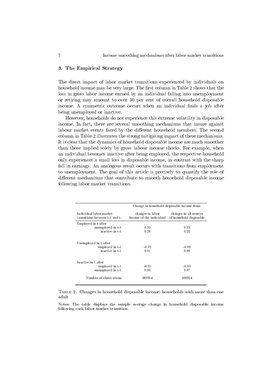#### 3. The Empirical Strategy

The direct impact of labor market transitions experienced by individuals on household income may be very large. The first column in Table 2 shows that the loss in gross labor income earned by an individual falling into unemployment or retiring may amount to over 30 per cent of overall household disposable income. A symmetric outcome occurs when an individual finds a job after being unemployed or inactive.

However, households do not experience this extreme volatility in disposable income. In fact, there are several smoothing mechanisms that insure against labour market events faced by the different household members. The second column in Table 2 illustrates the strong mitigating impact of these mechanisms. It is clear that the dynamics of household disposable income are much smoother than those implied solely by gross labour income shocks. For example, when an individual becomes inactive after being employed, the respective household only experiences a small loss in disposable income, in contrast with the sharp fall in earnings. An analogous result occurs with transitions from employment to unemployment. The goal of this article is precisely to quantify the role of different mechanisms that contribute to smooth household disposable income following labor market transitions.

|                                                             | Change in household disposable income from:  |                                                   |  |  |
|-------------------------------------------------------------|----------------------------------------------|---------------------------------------------------|--|--|
| Individual labor market<br>transitions between t-1 and t:   | changes in labor<br>income of the individual | changes in all sources<br>of household disposable |  |  |
| Employed in t after                                         |                                              |                                                   |  |  |
| unemployed in t-1                                           | 0.35                                         | 0.23                                              |  |  |
| inactive in t-1                                             | 0.26                                         | 0.22                                              |  |  |
| Unemployed in t after<br>employed in t-1<br>inactive in t-1 | $-0.32$<br>0.01                              | $-0.09$<br>0.06                                   |  |  |
| Inactive in t after                                         |                                              |                                                   |  |  |
| employed in t-1                                             | $-0.31$                                      | $-0.03$                                           |  |  |
| unemployed in t-1                                           | 0.00                                         | 0.07                                              |  |  |
| Number of observations                                      | 960914                                       | 960914                                            |  |  |

Table 2. Changes in household disposable income: households with more than one adult

Notes: The table displays the sample average change in household disposable income following each labor market transition.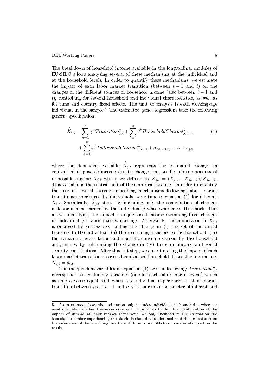The breakdown of household income available in the longitudinal modules of EU-SILC allows analysing several of these mechanisms at the individual and at the household levels. In order to quantify these mechanisms, we estimate the impact of each labor market transition (between  $t-1$  and t) on the changes of the different sources of household income (also between  $t-1$  and t), controlling for several household and individual characteristics, as well as for time and country fixed effects. The unit of analysis is each working-age individual in the sample.<sup>5</sup> The estimated panel regressions take the following general specification:

$$
\hat{\tilde{X}}_{j,t} = \sum_{n=1}^{6} \gamma^n \text{Transition}_{j,t}^n + \sum_{k=1}^{q} \theta^k \text{Household} \text{Character}_{j,t-1}^k \tag{1}
$$
\n
$$
+ \sum_{h=1}^{p} \varphi^h \text{Individual} \text{Character}_{j,t-1}^h + \alpha_{country} + \tau_t + \varepsilon_{j,t}
$$

where the dependent variable  $\hat{\tilde{X}}_{j,t}$  represents the estimated changes in equivalised disposable income due to changes in specific sub-components of disposable income  $\tilde{X}_{j,t}$  which are defined as  $\hat{\tilde{X}}_{j,t} = (\hat{\tilde{X}}_{j,t} - \hat{\tilde{X}}_{j,t-1})/\hat{\tilde{X}}_{j,t-1}$ . This variable is the central unit of the empirical strategy. In order to quantify the role of several income smoothing mechanisms following labor market transitions experienced by individuals, we estimate equation  $(1)$  for different  $\tilde{X}_{j,t}$ . Specifically,  $\tilde{X}_{j,t}$  starts by including only the contribution of changes in labor income earned by the individual  $j$  who experiences the shock. This allows identifying the impact on equivalised income stemming from changes in individual  $j$ 's labor market earnings. Afterwards, the numerator in  $\tilde{X}_{j,t}$ is enlarged by successively adding the change in (i) the set of individual transfers to the individual, (ii) the remaining transfers to the household, (iii) the remaining gross labor and non-labor income earned by the household and, finally, by subtracting the change in (iv) taxes on income and social security contributions. After this last step, we are estimating the impact of each labor market transition on overall equivalised household disposable income, i.e.  $\tilde{X}_{j,t} = \tilde{y}_{j,t}.$ 

The independent variables in equation (1) are the following:  $Transition_{j,t}^n$ corresponds to six dummy variables (one for each labor market event) which assume a value equal to 1 when a  $j$  individual experiences a labor market transition between years  $t-1$  and  $t$ ;  $\gamma^n$  is our main parameter of interest and

<sup>5.</sup> As mentioned above the estimation only includes individuals in households where at most one labor market transition occurred. In order to tighten the identification of the impact of individual labor market transitions, we only included in the estimation the household member experiencing the shock. It should be underlined that the exclusion from the estimation of the remaining members of those households has no material impact on the results.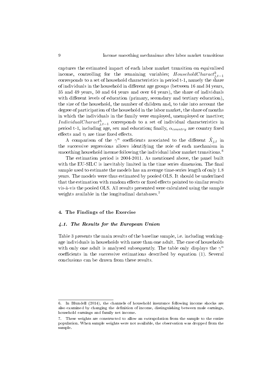captures the estimated impact of each labor market transition on equivalised income, controlling for the remaining variables;  $HouseholdCharacter_{j,t-1}$ corresponds to a set of household characteristics in period t-1, namely the share of individuals in the household in different age groups (between 16 and 34 years, 35 and 49 years, 50 and 64 years and over 64 years), the share of individuals with different levels of education (primary, secondary and tertiary education). the size of the household, the number of children and, to take into account the degree of participation of the household in the labor market, the share of months in which the individuals in the family were employed, unemployed or inactive; IndividualCharact<sup>h</sup><sub>j,t−1</sub> corresponds to a set of individual characteristics in period t-1, including age, sex and education; finally,  $\alpha_{country}$  are country fixed effects and  $\tau_t$  are time fixed effects.

A comparison of the  $\gamma^n$  coefficients associated to the different  $\tilde{X}_{j,t}$  in the successive regressions allows identifying the role of each mechanism in smoothing household income following the individual labor market transitions.<sup>6</sup>

The estimation period is 2004-2011. As mentioned above, the panel built with the EU-SILC is inevitably limited in the time series dimension. The final sample used to estimate the models has an average time-series length of only 1.8 years. The models were thus estimated by pooled OLS. It should be underlined that the estimation with random effects or fixed effects pointed to similar results vis-à-vis the pooled OLS. All results presented were calculated using the sample weights available in the longitudinal databases.<sup>7</sup>

#### 4. The Findings of the Exercise

#### 4.1. The Results for the European Union

Table 3 presents the main results of the baseline sample, i.e. including workingage individuals in households with more than one adult. The case of households with only one adult is analysed subsequently. The table only displays the  $\gamma^n$ coefficients in the successive estimations described by equation  $(1)$ . Several conclusions can be drawn from these results.

<sup>6.</sup> In Blundell (2014), the channels of household insurance following income shocks are also examined by changing the definition of income, distinguishing between male earnings, household earnings and family net income.

<sup>7.</sup> These weights are constructed to allow an extrapolation from the sample to the entire population. When sample weights were not available, the observation was dropped from the sample.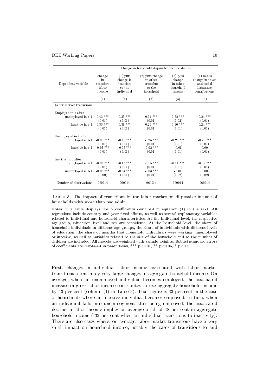|                          | Change in household disposable income due to: |                                                              |                                                                   |                                                         |                                                                            |
|--------------------------|-----------------------------------------------|--------------------------------------------------------------|-------------------------------------------------------------------|---------------------------------------------------------|----------------------------------------------------------------------------|
| Dependent variable       | change<br>in<br>transfers<br>labor<br>income  | $(1)$ plus<br>change in<br>transfers<br>to the<br>individual | $(2)$ plus change<br>in other<br>transfers<br>to the<br>household | $(3)$ plus<br>change<br>in other<br>household<br>income | $(4)$ minus<br>change in taxes<br>and social<br>insurance<br>contributions |
|                          | (1)                                           | (2)                                                          | (3)                                                               | (4)                                                     | (5)                                                                        |
| Labor market transitions |                                               |                                                              |                                                                   |                                                         |                                                                            |
| Employed in t after      |                                               |                                                              |                                                                   |                                                         |                                                                            |
| unemployed in t-1        | $0.43***$<br>(0.01)                           | $0.35***$<br>(0.01)                                          | $0.34***$<br>(0.01)                                               | $0.32***$<br>(0.02)                                     | $0.24***$<br>(0.01)                                                        |
| inactive in t-1          | $0.33***$<br>(0.01)                           | $0.31***$<br>(0.01)                                          | $0.29$ ***<br>(0.01)                                              | $0.30***$<br>(0.01)                                     | $0.24***$<br>(0.01)                                                        |
| Unemployed in t after    |                                               |                                                              |                                                                   |                                                         |                                                                            |
| employed in t-1          | $-0.38$ ***<br>(0.01)                         | $-0.26$ ***<br>(0.01)                                        | $-0.25$ ***<br>(0.01)                                             | $-0.26$ ***<br>(0.01)                                   | $-0.20$ ***<br>(0.01)                                                      |
| inactive in t-1          | $-0.03$ ***<br>(0.01)                         | $-0.03$ ***<br>(0.01)                                        | $-0.02$ ***<br>(0.01)                                             | $-0.01$<br>(0.01)                                       | 0.00<br>(0.01)                                                             |
| Inactive in t after      |                                               |                                                              |                                                                   |                                                         |                                                                            |
| employed in t-1          | $-0.33$ ***                                   | $-0.15$ ***                                                  | $-0.15$ ***                                                       | $-0.14$ ***                                             | $-0.08$ ***                                                                |
| unemployed in t-1        | (0.01)<br>$-0.08$ ***<br>(0.00)               | (0.01)<br>$-0.04$ ***<br>(0.01)                              | (0.01)<br>$-0.03$ ***<br>(0.01)                                   | (0.01)<br>$-0.01$<br>(0.02)                             | (0.01)<br>0.00<br>(0.02)                                                   |
| Number of observations   | 960914                                        | 960914                                                       | 960914                                                            | 960914                                                  | 960914                                                                     |

Table 3. The impact of transitions in the labor market on disposable income of households with more than one adult

Notes: The table displays the  $\gamma$  coefficients described in equation (1) in the text. All regressions include country and year fixed effects, as well as several explanatory variables related to individual and household characteristics. At the individual level, the respective age group, education level and sex are considered. At the household level, the share of household individuals in different age groups, the share of individuals with different levels of education, the share of months that household individuals were working, unemployed or inactive, as well as variables related to the size of the household and to the number of children are included. All models are weighted with sample weights. Robust standard errors of coefficients are displayed in parenthesis; \*\*\*  $p<0.01$ , \*\*  $p<0.05$ , \*  $p<0.1$ .

First, changes in individual labor income associated with labor market transitions often imply very large changes in aggregate household income. On average, when an unemployed individual becomes employed, the associated increase in gross labor income contributes to rise aggregate household income by 43 per cent (column  $(1)$  in Table 3). That figure is 33 per cent in the case of households where an inactive individual becomes employed. In turn, when an individual falls into unemployment after being employed, the associated decline in labor income implies on average a fall of 38 per cent in aggregate household income (-33 per cent when an individual transitions to inactivity). There are also cases where, on average, labor market transitions have a very small impact on household income, notably the cases of transitions to and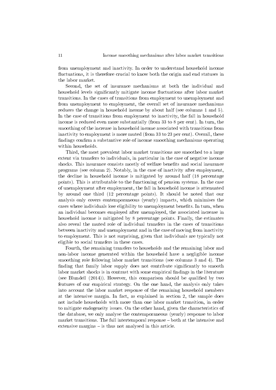from unemployment and inactivity. In order to understand household income fluctuations, it is therefore crucial to know both the origin and end statuses in the labor market.

Second, the set of insurance mechanisms at both the individual and household levels significantly mitigate income fluctuations after labor market transitions. In the cases of transitions from employment to unemployment and from unemployment to employment, the overall set of insurance mechanisms reduces the change in household income by about half (see columns 1 and 5). In the case of transitions from employment to inactivity, the fall in household income is reduced even more substantially (from 33 to 8 per cent). In turn, the smoothing of the increase in household income associated with transitions from inactivity to employment is more muted (from 33 to 23 per cent). Overall, these findings confirm a substantive role of income smoothing mechanisms operating within households.

Third, the most prevalent labor market transitions are smoothed to a large extent via transfers to individuals, in particular in the case of negative income shocks. This insurance consists mostly of welfare benefits and social insurance programs (see column 2). Notably, in the case of inactivity after employment, the decline in household income is mitigated by around half (18 percentage points). This is attributable to the functioning of pension systems. In the case of unemployment after employment, the fall in household income is attenuated by around one third (12 percentage points). It should be noted that our analysis only covers contemporaneous (yearly) impacts, which minimises the cases where individuals lose eligibility to unemployment benets. In turn, when an individual becomes employed after unemployed, the associated increase in household income is mitigated by 8 percentage points. Finally, the estimates also reveal the muted role of individual transfers in the cases of transitions between inactivity and unemployment and in the case of moving from inactivity to employment. This is not surprising, given that individuals are typically not eligible to social transfers in these cases.

Fourth, the remaining transfers to households and the remaining labor and non-labor income generated within the household have a negligible income smoothing role following labor market transitions (see columns 3 and 4). The finding that family labor supply does not contribute significantly to smooth labor market shocks is in contrast with some empirical findings in the literature (see Blundell  $(2014)$ ). However, this comparison should be qualified by two features of our empirical strategy. On the one hand, the analysis only takes into account the labor market response of the remaining household members at the intensive margin. In fact, as explained in section 2, the sample does not include households with more than one labor market transition, in order to mitigate endogeneity issues. On the other hand, given the characteristics of the database, we only analyse the contemporaneous (yearly) response to labor market transitions. The full intertemporal response – both at the intensive and extensive margins  $-$  is thus not analysed in this article.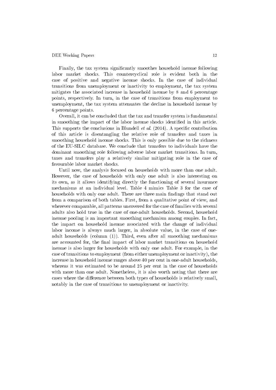Finally, the tax system signicantly smoothes household income following labor market shocks. This countercyclical role is evident both in the case of positive and negative income shocks. In the case of individual transitions from unemployment or inactivity to employment, the tax system mitigates the associated increase in household income by 8 and 6 percentage points, respectively. In turn, in the case of transitions from employment to unemployment, the tax system attenuates the decline in household income by 6 percentage points.

Overall, it can be concluded that the tax and transfer system is fundamental in smoothing the impact of the labor income shocks identified in this article. This supports the conclusions in Blundell *et al.* (2014). A specific contribution of this article is disentangling the relative role of transfers and taxes in smoothing household income shocks. This is only possible due to the richness of the EU-SILC database. We conclude that transfers to individuals have the dominant smoothing role following adverse labor market transitions. In turn, taxes and transfers play a relatively similar mitigating role in the case of favourable labor market shocks.

Until now, the analysis focused on households with more than one adult. However, the case of households with only one adult is also interesting on its own, as it allows identifying directly the functioning of several insurance mechanisms at an individual level. Table 4 mimics Table 3 for the case of households with only one adult. There are three main findings that stand out from a comparison of both tables. First, from a qualitative point of view, and wherever comparable, all patterns uncovered for the case of families with several adults also hold true in the case of one-adult households. Second, household income pooling is an important smoothing mechanism among couples. In fact, the impact on household income associated with the change of individual labor income is always much larger, in absolute value, in the case of oneadult households (column (1)). Third, even after all smoothing mechanisms are accounted for, the final impact of labor market transitions on household income is also larger for households with only one adult. For example, in the case of transitions to employment (from either unemployment or inactivity), the increase in household income ranges above 40 per cent in one-adult households, whereas it was estimated to be around 25 per cent in the case of households with more than one adult. Nonetheless, it is also worth noting that there are cases where the difference between both types of households is relatively small, notably in the case of transitions to unemployment or inactivity.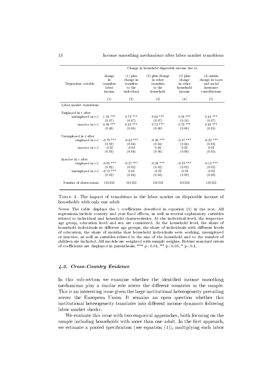|                          | Change in household disposable income due to: |                                                              |                                                                   |                                                         |                                                                            |
|--------------------------|-----------------------------------------------|--------------------------------------------------------------|-------------------------------------------------------------------|---------------------------------------------------------|----------------------------------------------------------------------------|
| Dependent variable       | change<br>in<br>transfers<br>labor<br>income  | $(1)$ plus<br>change in<br>transfers<br>to the<br>individual | $(2)$ plus change<br>in other<br>transfers<br>to the<br>household | $(3)$ plus<br>change<br>in other<br>household<br>income | $(4)$ minus<br>change in taxes<br>and social<br>insurance<br>contributions |
|                          | (1)                                           | (2)                                                          | (3)                                                               | (4)                                                     | (5)                                                                        |
| Labor market transitions |                                               |                                                              |                                                                   |                                                         |                                                                            |
| Employed in t after      |                                               |                                                              |                                                                   |                                                         |                                                                            |
| unemployed in t-1        | $1.03$ ***<br>(0.07)                          | $0.79$ ***<br>(0.07)                                         | $0.64$ ***<br>(0.07)                                              | $0.58$ ***<br>(0.10)                                    | $0.43$ ***<br>(0.07)                                                       |
| inactive in t-1          | $0.99$ ***<br>(0.06)                          | $0.83***$<br>(0.06)                                          | $0.72$ ***<br>(0.06)                                              | $0.70$ ***<br>(0.06)                                    | $0.49$ ***<br>(0.05)                                                       |
| Unemployed in t after    |                                               |                                                              |                                                                   |                                                         |                                                                            |
| employed in t-1          | $-0.79$ ***<br>(0.02)                         | $-0.43$ ***<br>(0.04)                                        | $-0.36$ ***<br>(0.04)                                             | $-0.37$ ***<br>(0.04)                                   | $-0.22$ ***<br>(0.03)                                                      |
| inactive in t-1          | $-0.02$<br>(0.03)                             | $-0.02$<br>(0.04)                                            | 0.04<br>(0.06)                                                    | 0.02<br>(0.06)                                          | 0.02<br>(0.05)                                                             |
| Inactive in t after      |                                               |                                                              |                                                                   |                                                         |                                                                            |
| employed in t-1          | $-0.65$ ***                                   | $-0.27$ ***                                                  | $-0.24$ ***                                                       | $-0.23$ ***                                             | $-0.12$ ***                                                                |
| unemployed in t-1        | (0.02)<br>$-0.13$ ***<br>(0.02)               | (0.02)<br>0.03<br>(0.04)                                     | (0.02)<br>$-0.02$<br>(0.04)                                       | (0.02)<br>$-0.08$<br>(0.09)                             | (0.02)<br>$-0.02$<br>(0.06)                                                |
| Number of observations   | 101352                                        | 101352                                                       | 101352                                                            | 101352                                                  | 101352                                                                     |

Table 4. The impact of transitions in the labor market on disposable income of households with only one adult

Notes: The table displays the  $\gamma$  coefficients described in equation (1) in the text. All regressions include country and year fixed effects, as well as several explanatory variables related to individual and household characteristics. At the individual level, the respective age group, education level and sex are considered. At the household level, the share of household individuals in different age groups, the share of individuals with different levels of education, the share of months that household individuals were working, unemployed or inactive, as well as variables related to the size of the household and to the number of children are included. All models are weighted with sample weights. Robust standard errors of coefficients are displayed in parenthesis; \*\*\*  $p<0.01$ , \*\*  $p<0.05$ , \*  $p<0.1$ .

#### 4.2. Cross-Country Evidence

In this sub-section we examine whether the identified income smoothing mechanisms play a similar role across the different countries in the sample. This is an interesting issue given the large institutional heterogeneity prevailing across the European Union. It remains an open question whether this institutional heterogeneity translates into different income dynamics following labor market shocks.

We evaluate this issue with two empirical approaches, both focusing on the sample including households with more than one adult. In the first approach, we estimate a pooled specification (see equation  $(1)$ ), multiplying each labor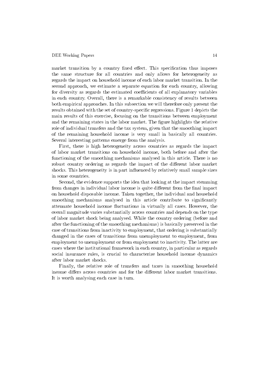market transition by a country fixed effect. This specification thus imposes the same structure for all countries and only allows for heterogeneity as regards the impact on household income of each labor market transition. In the second approach, we estimate a separate equation for each country, allowing for diversity as regards the estimated coefficients of all explanatory variables in each country. Overall, there is a remarkable consistency of results between both empirical approaches. In this subsection we will therefore only present the results obtained with the set of country-specific regressions. Figure 1 depicts the main results of this exercise, focusing on the transitions between employment and the remaining states in the labor market. The figure highlights the relative role of individual transfers and the tax system, given that the smoothing impact of the remaining household income is very small in basically all countries. Several interesting patterns emerge from the analysis.

First, there is high heterogeneity across countries as regards the impact of labor market transitions on household income, both before and after the functioning of the smoothing mechanisms analysed in this article. There is no robust country ordering as regards the impact of the different labor market shocks. This heterogeneity is in part influenced by relatively small sample sizes in some countries.

Second, the evidence supports the idea that looking at the impact stemming from changes in individual labor income is quite different from the final impact on household disposable income. Taken together, the individual and household smoothing mechanisms analysed in this article contribute to significantly attenuate household income fluctuations in virtually all cases. However, the overall magnitude varies substantially across countries and depends on the type of labor market shock being analysed. While the country ordering (before and after the functioning of the smoothing mechanisms) is basically preserved in the case of transitions from inactivity to employment, that ordering is substantially changed in the cases of transitions from unemployment to employment, from employment to unemployment or from employment to inactivity. The latter are cases where the institutional framework in each country, in particular as regards social insurance rules, is crucial to characterize household income dynamics after labor market shocks.

Finally, the relative role of transfers and taxes in smoothing household income differs across countries and for the different labor market transitions. It is worth analysing each case in turn.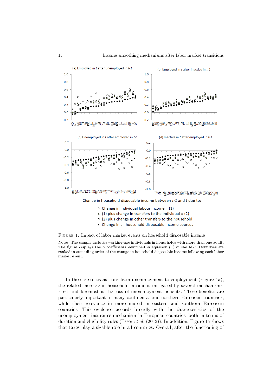

- $\circ$  Change in individual labour income = (1)
- $(1)$  plus change in transfers to the individual = (2)
- $\Box$  (2) plus change in other transfers to the household
- Change in all household disposable income sources

Figure 1: Impact of labor market events on household disposable income

Notes: The sample includes working-age individuals in households with more than one adult. The figure displays the  $\gamma$  coefficients described in equation (1) in the text. Countries are ranked in ascending order of the change in household disposable income following each labor market event.

In the case of transitions from unemployment to employment (Figure 1a), the related increase in household income is mitigated by several mechanisms. First and foremost is the loss of unemployment benefits. These benefits are particularly important in many continental and northern European countries, while their relevance in more muted in eastern and southern European countries. This evidence accords broadly with the characteristics of the unemployment insurance mechanism in European countries, both in terms of duration and eligibility rules (Esser  $et$  al. (2013)). In addition, Figure 1a shows that taxes play a sizable role in all countries. Overall, after the functioning of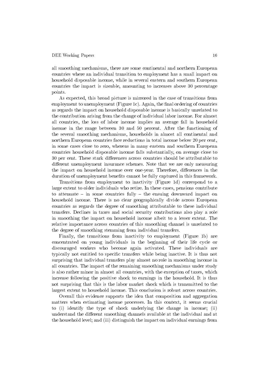all smoothing mechanisms, there are some continental and northern European countries where an individual transition to employment has a small impact on household disposable income, while in several eastern and southern European countries the impact is sizeable, amounting to increases above 30 percentage points.

As expected, this broad picture is mirrored in the case of transitions from employment to unemployment (Figure 1c). Again, the final ordering of countries as regards the impact on household disposable income is basically unrelated to the contribution arising from the change of individual labor income. For almost all countries, the loss of labor income implies an average fall in household income in the range between 30 and 50 percent. After the functioning of the several smoothing mechanisms, households in almost all continental and northern European countries face reductions in total income below 20 per cent, in some cases close to zero, whereas in many eastern and southern European countries household disposable income falls substantially, on average close to 30 per cent. These stark differences across countries should be attributable to different unemployment insurance schemes. Note that we are only measuring the impact on household income over one-year. Therefore, differences in the duration of unemployment benefits cannot be fully captured in this framework.

Transitions from employment to inactivity (Figure 1d) correspond to a large extent to older individuals who retire. In these cases, pensions contribute to attenuate  $-$  in some countries fully  $-$  the ensuing downward impact on household income. There is no clear geographically divide across European countries as regards the degree of smoothing attributable to these individual transfers. Declines in taxes and social security contributions also play a role in smoothing the impact on household income albeit to a lesser extent. The relative importance across countries of this smoothing channel is unrelated to the degree of smoothing stemming from individual transfers.

Finally, the transitions from inactivity to employment (Figure 1b) are concentrated on young individuals in the beginning of their life cycle or discouraged workers who become again activated. These individuals are typically not entitled to specific transfers while being inactive. It is thus not surprising that individual transfers play almost no role in smoothing income in all countries. The impact of the remaining smoothing mechanisms under study is also rather minor in almost all countries, with the exception of taxes, which increase following the positive shock to earnings in the household. It is thus not surprising that this is the labor market shock which is transmitted to the largest extent to household income. This conclusion is robust across countries.

Overall this evidence supports the idea that composition and aggregation matters when estimating income processes. In this context, it seems crucial to (i) identify the type of shock underlying the change in income; (ii) understand the different smoothing channels available at the individual and at the household level; and (iii) distinguish the impact on individual earnings from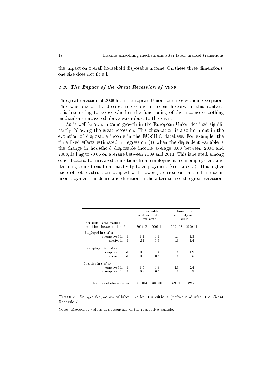the impact on overall household disposable income. On these three dimensions, one size does not fit all.

#### 4.3. The Impact of the Great Recession of 2009

The great recession of 2009 hit all European Union countries without exception. This was one of the deepest recessions in recent history. In this context, it is interesting to assess whether the functioning of the income smoothing mechanisms uncovered above was robust to this event.

As is well known, income growth in the European Union declined significantly following the great recession. This observation is also born out in the evolution of disposable income in the EU-SILC database. For example, the time fixed effects estimated in regression  $(1)$  when the dependent variable is the change in household disposable income average 0.03 between 2004 and 2008, falling to -0.06 on average between 2009 and 2011. This is related, among other factors, to increased transitions from employment to unemployment and declining transitions from inactivity to employment (see Table 5). This higher pace of job destruction coupled with lower job creation implied a rise in unemployment incidence and duration in the aftermath of the great recession.

|                                                             | Households<br>with more than<br>one adult |            | Households<br>with only one<br>adult |            |
|-------------------------------------------------------------|-------------------------------------------|------------|--------------------------------------|------------|
| Individual labor market                                     |                                           |            |                                      |            |
| transitions between t-1 and t:                              | 2004-08                                   | 2009-11    | 2004-08                              | 2009-11    |
| Employed in t after                                         |                                           |            |                                      |            |
| unemployed in t-1                                           | 1.1                                       | 1.1        | 1.4                                  | 1.3        |
| inactive in t-1                                             | 21                                        | 1.5        | 19                                   | 1.4        |
| Unemployed in t after<br>employed in t-1<br>inactive in t-1 | 0.9<br>0.8                                | 1.4<br>0.8 | 1.2<br>0.6                           | 1.9<br>0.5 |
| Inactive in t after                                         |                                           |            |                                      |            |
| employed in t-1                                             | 1.6                                       | 1.6        | 23                                   | 2.4        |
| unemployed in t-1                                           | 0.8                                       | 0.7        | 1.0                                  | 0.9        |
| Number of observations                                      | 580014                                    | 380900     | 59081                                | 42271      |

Table 5. Sample frequency of labor market transitions (before and after the Great Recession)

Notes: Frequency values in percentage of the respective sample.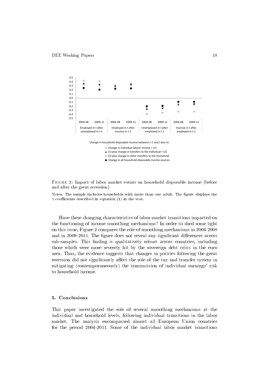

Change in all household disposable income sources

Figure 2: Impact of labor market events on household disposable income (before and after the great recession)

Notes: The sample includes households with more than one adult. The figure displays the  $\gamma$  coefficients described in equation (1) in the text.

Have these changing characteristics of labor market transitions impacted on the functioning of income smoothing mechanisms? In order to shed some light on this issue, Figure 2 compares the role of smoothing mechanisms in 2004-2008 and in 2009-2011. The figure does not reveal any significant differences across sub-samples. This finding is qualitatively robust across countries, including those which were more severely hit by the sovereign debt crisis in the euro area. Thus, the evidence suggests that changes in policies following the great recession did not significantly affect the role of the tax and transfer system in mitigating (contemporaneously) the transmission of individual earnings' risk to household income.

#### 5. Conclusions

This paper investigated the role of several smoothing mechanisms at the individual and household levels, following individual transitions in the labor market. The analysis encompassed almost all European Union countries for the period 2004-2011. Some of the individual labor market transitions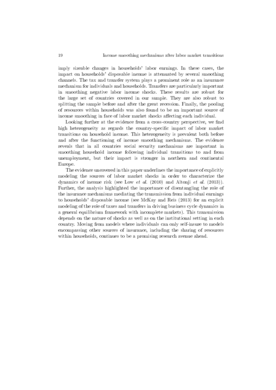imply sizeable changes in households' labor earnings. In these cases, the impact on households' disposable income is attenuated by several smoothing channels. The tax and transfer system plays a prominent role as an insurance mechanism for individuals and households. Transfers are particularly important in smoothing negative labor income shocks. These results are robust for the large set of countries covered in our sample. They are also robust to splitting the sample before and after the great recession. Finally, the pooling of resources within households was also found to be an important source of income smoothing in face of labor market shocks affecting each individual.

Looking further at the evidence from a cross-country perspective, we find high heterogeneity as regards the country-specific impact of labor market transitions on household income. This heterogeneity is prevalent both before and after the functioning of income smoothing mechanisms. The evidence reveals that in all countries social security mechanisms are important in smoothing household income following individual transitions to and from unemployment, but their impact is stronger in northern and continental Europe.

The evidence uncovered in this paper underlines the importance of explicitly modeling the sources of labor market shocks in order to characterize the dynamics of income risk (see Low *et al.* (2010) and Altonji *et al.* (2013)). Further, the analysis highlighted the importance of disentangling the role of the insurance mechanisms mediating the transmission from individual earnings to households' disposable income (see McKay and Reis (2013) for an explicit modeling of the role of taxes and transfers in driving business cycle dynamics in a general equilibrium framework with incomplete markets). This transmission depends on the nature of shocks as well as on the institutional setting in each country. Moving from models where individuals can only self-insure to models encompassing other sources of insurance, including the sharing of resources within households, continues to be a promising research avenue ahead.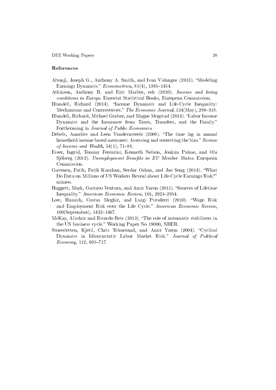#### References

- Altonji, Joseph G., Anthony A. Smith, and Ivan Vidangos (2013). "Modeling Earnings Dynamics."  $Econometrica$ , 81(4), 1395-1454.
- Atkinson, Anthony B. and Eric Marlier, eds (2010). Income and living conditions in Europe. Eurostat Statistical Books, European Commission.
- Blundell, Richard (2014). "Income Dynamics and Life-Cycle Inequality: Mechanisms and Controversies." The Economic Journal,  $124$ (May),  $289-318$ .
- Blundell, Richard, Michael Graber, and Magne Mogstad (2014). "Labor Income Dynamics and the Insurance from Taxes, Transfers, and the Family. Forthcoming in Journal of Public Economics.
- Debels, Annelies and Leen Vandecasteele (2008). "The time lag in annual household income based measures: Assessing and correcting the bias." Review of Income and Wealth,  $54(1)$ ,  $71-88$ .
- Esser, Ingrid, Tommy Ferrarini, Kenneth Nelson, Joakim Palme, and Ola Sjöberg (2013). Unemployment Benefits in EU Member States. European Commission.
- Guvenen, Fatih, Fatih Karahan, Serdar Ozkan, and Jae Song (2014). What Do Data on Millions of US Workers Reveal about Life-Cycle Earnings Risk? mimeo.
- Huggett, Mark, Gustavo Ventura, and Amir Yaron (2011). "Sources of Lifetime Inequality." American Economic Review, 101, 2923-2954.
- Low, Hamish, Costas Meghir, and Luigi Pistaferri (2010). Wage Risk and Employment Risk over the Life Cycle." American Economic Review, 100(September), 1432-1467.
- McKay, Alisdair and Ricardo Reis (2013). "The role of automatic stabilizers in the US business cycle." Working Paper No 19000, NBER.
- Storesletten, Kjetil, Chris Telmerand, and Amir Yaron (2004). "Cyclical Dynamics in Idiosyncratic Labor Market Risk." Journal of Political  $Economy, 112, 695-717.$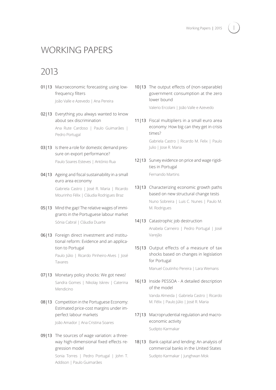# I

# WORKING PAPERS

# 2013

01|13 Macroeconomic forecasting using lowfrequency filters

João Valle e Azevedo | Ana Pereira

02|13 Everything you always wanted to know about sex discrimination Ana Rute Cardoso | Paulo Guimarães |

Pedro Portugal

- 03|13 Is there a role for domestic demand pressure on export performance? Paulo Soares Esteves | António Rua
- 04|13 Ageing and fiscal sustainability in a small euro area economy

Gabriela Castro | José R. Maria | Ricardo Mourinho Félix | Cláudia Rodrigues Braz

- 05|13 Mind the gap! The relative wages of immigrants in the Portuguese labour market Sónia Cabral | Cláudia Duarte
- 06|13 Foreign direct investment and institutional reform: Evidence and an application to Portugal

Paulo Júlio | Ricardo Pinheiro-Alves | José Tavares

- 07|13 Monetary policy shocks: We got news! Sandra Gomes | Nikolay Iskrev | Caterina Mendicino
- 08|13 Competition in the Portuguese Economy: Estimated price-cost margins under imperfect labour markets João Amador | Ana Cristina Soares
- 09|13 The sources of wage variation: a threeway high-dimensional fixed effects regression model

Sonia Torres | Pedro Portugal | John T. Addison | Paulo Guimarães

10|13 The output effects of (non-separable) government consumption at the zero lower bound

Valerio Ercolani | João Valle e Azevedo

11|13 Fiscal multipliers in a small euro area economy: How big can they get in crisis times? Gabriela Castro | Ricardo M. Felix | Paulo

Julio | Jose R. Maria

- 12|13 Survey evidence on price and wage rigidities in Portugal Fernando Martins
- 13|13 Characterizing economic growth paths based on new structural change tests Nuno Sobreira | Luis C. Nunes | Paulo M. M. Rodrigues
- 14|13 Catastrophic job destruction Anabela Carneiro | Pedro Portugal | José Varejão
- 15|13 Output effects of a measure of tax shocks based on changes in legislation for Portugal

Manuel Coutinho Pereira | Lara Wemans

16|13 Inside PESSOA - A detailed description of the model

> Vanda Almeida | Gabriela Castro | Ricardo M. Félix | Paulo Júlio | José R. Maria

- 17|13 Macroprudential regulation and macroeconomic activity Sudipto Karmakar
- 18|13 Bank capital and lending: An analysis of commercial banks in the United States Sudipto Karmakar | Junghwan Mok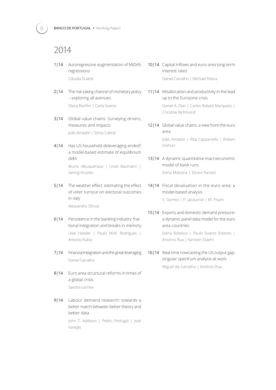## 2014

- 1|14 Autoregressive augmentation of MIDAS regressions Cláudia Duarte
- 2|14 The risk-taking channel of monetary policy – exploring all avenues Diana Bonfim | Carla Soares
- 3|14 Global value chains: Surveying drivers, measures and impacts João Amador | Sónia Cabral
- 4|14 Has US household deleveraging ended? a model-based estimate of equilibrium debt Bruno Albuquerque | Ursel Baumann | Georgi Krustev
- 5|14 The weather effect: estimating the effect of voter turnout on electoral outcomes in italy

Alessandro Sforza

- 6|14 Persistence in the banking industry: fractional integration and breaks in memory Uwe Hassler | Paulo M.M. Rodrigues | Antonio Rubia
- 7|14 Financial integration and the great leveraging Daniel Carvalho
- 8|14 Euro area structural reforms in times of a global crisis Sandra Gomes
- 9|14 Labour demand research: towards a better match between better theory and better data

John T. Addison | Pedro Portugal | José Varejão

- 10|14 Capital inflows and euro area long-term interest rates Daniel Carvalho | Michael Fidora
- 11|14 Misallocation and productivity in the lead up to the Eurozone crisis Daniel A. Dias | Carlos Robalo Marquesz | Christine Richmond
- 12|14 Global value chains: a view from the euro area João Amador | Rita Cappariello | Robert Stehrer
- 13|14 A dynamic quantitative macroeconomic model of bank runs Elena Mattana | Ettore Panetti
- 14|14 Fiscal devaluation in the euro area: a model-based analysis

S. Gomes | P. Jacquinot | M. Pisani

- 15|14 Exports and domestic demand pressure: a dynamic panel data model for the euro area countries Elena Bobeica | Paulo Soares Esteves | António Rua | Karsten Staehr
- 16|14 Real-time nowcasting the US output gap: singular spectrum analysis at work

Miguel de Carvalho | António Rua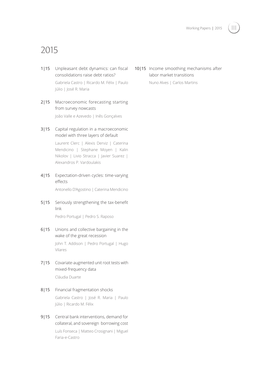

# 2015

- 1|15 Unpleasant debt dynamics: can fiscal consolidations raise debt ratios? Gabriela Castro | Ricardo M. Félix | Paulo Júlio | José R. Maria
- 2|15 Macroeconomic forecasting starting from survey nowcasts

João Valle e Azevedo | Inês Gonçalves

3|15 Capital regulation in a macroeconomic model with three layers of default

> Laurent Clerc | Alexis Derviz | Caterina Mendicino | Stephane Moyen | Kalin Nikolov | Livio Stracca | Javier Suarez | Alexandros P. Vardoulakis

4|15 Expectation-driven cycles: time-varying effects

Antonello D'Agostino | Caterina Mendicino

5|15 Seriously strengthening the tax-benefit link

Pedro Portugal | Pedro S. Raposo

6|15 Unions and collective bargaining in the wake of the great recession

> John T. Addison | Pedro Portugal | Hugo Vilares

- 7|15 Covariate-augmented unit root tests with mixed-frequency data Cláudia Duarte
- 8|15 Financial fragmentation shocks Gabriela Castro | José R. Maria | Paulo Júlio | Ricardo M. Félix
- 9|15 Central bank interventions, demand for collateral, and sovereign borrowing cost Luís Fonseca | Matteo Crosignani | Miguel Faria-e-Castro

10|15 Income smoothing mechanisms after labor market transitions

Nuno Alves | Carlos Martins